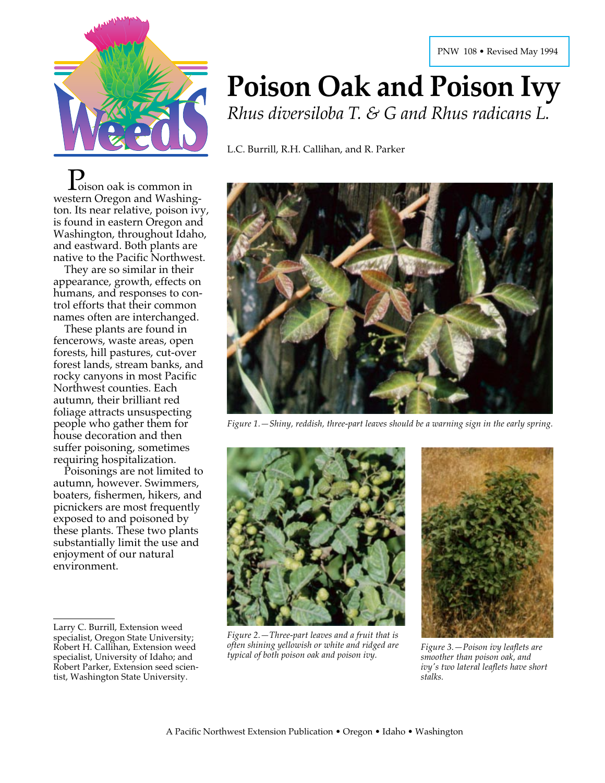

 $\sum_{\text{oisson}}$  oak is common in western Oregon and Washington. Its near relative, poison ivy, is found in eastern Oregon and Washington, throughout Idaho, and eastward. Both plants are native to the Pacific Northwest.

They are so similar in their appearance, growth, effects on humans, and responses to control efforts that their common names often are interchanged.

These plants are found in fencerows, waste areas, open forests, hill pastures, cut-over forest lands, stream banks, and rocky canyons in most Pacific Northwest counties. Each autumn, their brilliant red foliage attracts unsuspecting people who gather them for house decoration and then suffer poisoning, sometimes requiring hospitalization.

Poisonings are not limited to autumn, however. Swimmers, boaters, fishermen, hikers, and picnickers are most frequently exposed to and poisoned by these plants. These two plants substantially limit the use and enjoyment of our natural environment.

# **Poison Oak and Poison Ivy** *Rhus diversiloba T. & G and Rhus radicans L.*

L.C. Burrill, R.H. Callihan, and R. Parker



*Figure 1.—Shiny, reddish, three-part leaves should be a warning sign in the early spring.*



*Figure 2.—Three-part leaves and a fruit that is often shining yellowish or white and ridged are typical of both poison oak and poison ivy. Figure 3.—Poison ivy leaflets are*



*smoother than poison oak, and ivy's two lateral leaflets have short stalks.*

Larry C. Burrill, Extension weed specialist, Oregon State University; Robert H. Callihan, Extension weed specialist, University of Idaho; and Robert Parker, Extension seed scientist, Washington State University.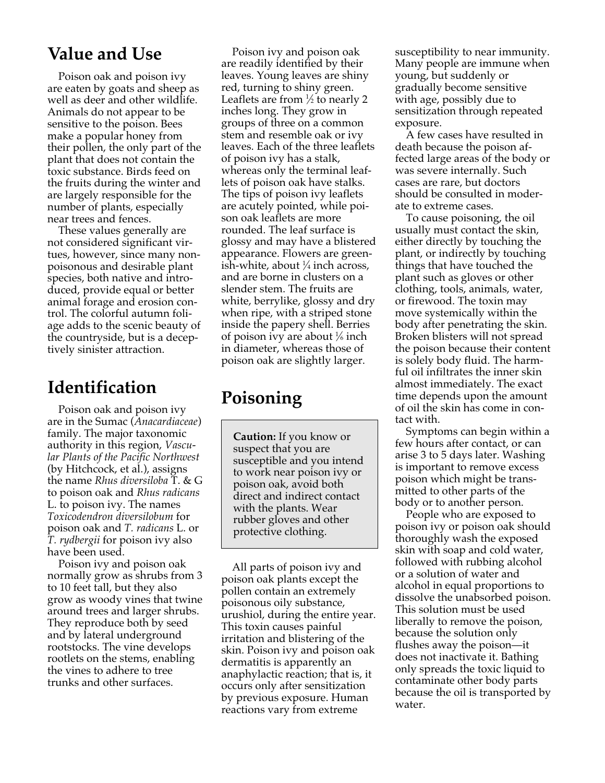### **Value and Use**

Poison oak and poison ivy are eaten by goats and sheep as well as deer and other wildlife. Animals do not appear to be sensitive to the poison. Bees make a popular honey from their pollen, the only part of the plant that does not contain the toxic substance. Birds feed on the fruits during the winter and are largely responsible for the number of plants, especially near trees and fences.

These values generally are not considered significant virtues, however, since many nonpoisonous and desirable plant species, both native and introduced, provide equal or better animal forage and erosion control. The colorful autumn foliage adds to the scenic beauty of the countryside, but is a deceptively sinister attraction.

### **Identification**

Poison oak and poison ivy are in the Sumac (*Anacardiaceae*) family. The major taxonomic authority in this region, *Vascular Plants of the Pacific Northwest* (by Hitchcock, et al.), assigns the name *Rhus diversiloba* T. & G to poison oak and *Rhus radicans* L. to poison ivy. The names *Toxicodendron diversilobum* for poison oak and *T. radicans* L. or *T. rydbergii* for poison ivy also have been used.

Poison ivy and poison oak normally grow as shrubs from 3 to 10 feet tall, but they also grow as woody vines that twine around trees and larger shrubs. They reproduce both by seed and by lateral underground rootstocks. The vine develops rootlets on the stems, enabling the vines to adhere to tree trunks and other surfaces.

Poison ivy and poison oak are readily identified by their leaves. Young leaves are shiny red, turning to shiny green. Leaflets are from  $\frac{1}{2}$  to nearly 2 inches long. They grow in groups of three on a common stem and resemble oak or ivy leaves. Each of the three leaflets of poison ivy has a stalk, whereas only the terminal leaflets of poison oak have stalks. The tips of poison ivy leaflets are acutely pointed, while poison oak leaflets are more rounded. The leaf surface is glossy and may have a blistered appearance. Flowers are greenish-white, about 1 ⁄4 inch across, and are borne in clusters on a slender stem. The fruits are white, berrylike, glossy and dry when ripe, with a striped stone inside the papery shell. Berries of poison ivy are about 1 ⁄6 inch in diameter, whereas those of poison oak are slightly larger.

## **Poisoning**

**Caution:** If you know or suspect that you are susceptible and you intend to work near poison ivy or poison oak, avoid both direct and indirect contact with the plants. Wear rubber gloves and other protective clothing.

All parts of poison ivy and poison oak plants except the pollen contain an extremely poisonous oily substance, urushiol, during the entire year. This toxin causes painful irritation and blistering of the skin. Poison ivy and poison oak dermatitis is apparently an anaphylactic reaction; that is, it occurs only after sensitization by previous exposure. Human reactions vary from extreme

susceptibility to near immunity. Many people are immune when young, but suddenly or gradually become sensitive with age, possibly due to sensitization through repeated exposure.

A few cases have resulted in death because the poison affected large areas of the body or was severe internally. Such cases are rare, but doctors should be consulted in moderate to extreme cases.

To cause poisoning, the oil usually must contact the skin, either directly by touching the plant, or indirectly by touching things that have touched the plant such as gloves or other clothing, tools, animals, water, or firewood. The toxin may move systemically within the body after penetrating the skin. Broken blisters will not spread the poison because their content is solely body fluid. The harmful oil infiltrates the inner skin almost immediately. The exact time depends upon the amount of oil the skin has come in contact with.

Symptoms can begin within a few hours after contact, or can arise 3 to 5 days later. Washing is important to remove excess poison which might be transmitted to other parts of the body or to another person.

People who are exposed to poison ivy or poison oak should thoroughly wash the exposed skin with soap and cold water, followed with rubbing alcohol or a solution of water and alcohol in equal proportions to dissolve the unabsorbed poison. This solution must be used liberally to remove the poison, because the solution only flushes away the poison—it does not inactivate it. Bathing only spreads the toxic liquid to contaminate other body parts because the oil is transported by water.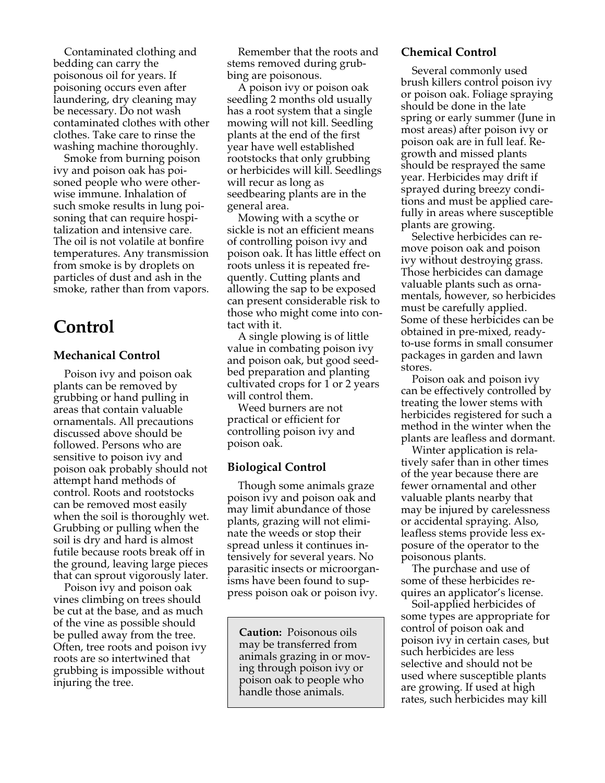Contaminated clothing and bedding can carry the poisonous oil for years. If poisoning occurs even after laundering, dry cleaning may be necessary. Do not wash contaminated clothes with other clothes. Take care to rinse the washing machine thoroughly.

Smoke from burning poison ivy and poison oak has poisoned people who were otherwise immune. Inhalation of such smoke results in lung poisoning that can require hospitalization and intensive care. The oil is not volatile at bonfire temperatures. Any transmission from smoke is by droplets on particles of dust and ash in the smoke, rather than from vapors.

### **Control**

#### **Mechanical Control**

Poison ivy and poison oak plants can be removed by grubbing or hand pulling in areas that contain valuable ornamentals. All precautions discussed above should be followed. Persons who are sensitive to poison ivy and poison oak probably should not attempt hand methods of control. Roots and rootstocks can be removed most easily when the soil is thoroughly wet. Grubbing or pulling when the soil is dry and hard is almost futile because roots break off in the ground, leaving large pieces that can sprout vigorously later.

Poison ivy and poison oak vines climbing on trees should be cut at the base, and as much of the vine as possible should be pulled away from the tree. Often, tree roots and poison ivy roots are so intertwined that grubbing is impossible without injuring the tree.

Remember that the roots and stems removed during grubbing are poisonous.

A poison ivy or poison oak seedling 2 months old usually has a root system that a single mowing will not kill. Seedling plants at the end of the first year have well established rootstocks that only grubbing or herbicides will kill. Seedlings will recur as long as seedbearing plants are in the general area.

Mowing with a scythe or sickle is not an efficient means of controlling poison ivy and poison oak. It has little effect on roots unless it is repeated frequently. Cutting plants and allowing the sap to be exposed can present considerable risk to those who might come into contact with it.

A single plowing is of little value in combating poison ivy and poison oak, but good seedbed preparation and planting cultivated crops for 1 or 2 years will control them.

Weed burners are not practical or efficient for controlling poison ivy and poison oak.

#### **Biological Control**

Though some animals graze poison ivy and poison oak and may limit abundance of those plants, grazing will not eliminate the weeds or stop their spread unless it continues intensively for several years. No parasitic insects or microorganisms have been found to suppress poison oak or poison ivy.

**Caution:** Poisonous oils may be transferred from animals grazing in or moving through poison ivy or poison oak to people who handle those animals.

#### **Chemical Control**

Several commonly used brush killers control poison ivy or poison oak. Foliage spraying should be done in the late spring or early summer (June in most areas) after poison ivy or poison oak are in full leaf. Regrowth and missed plants should be resprayed the same year. Herbicides may drift if sprayed during breezy conditions and must be applied carefully in areas where susceptible plants are growing.

Selective herbicides can remove poison oak and poison ivy without destroying grass. Those herbicides can damage valuable plants such as ornamentals, however, so herbicides must be carefully applied. Some of these herbicides can be obtained in pre-mixed, readyto-use forms in small consumer packages in garden and lawn stores.

Poison oak and poison ivy can be effectively controlled by treating the lower stems with herbicides registered for such a method in the winter when the plants are leafless and dormant.

Winter application is relatively safer than in other times of the year because there are fewer ornamental and other valuable plants nearby that may be injured by carelessness or accidental spraying. Also, leafless stems provide less exposure of the operator to the poisonous plants.

The purchase and use of some of these herbicides requires an applicator's license.

Soil-applied herbicides of some types are appropriate for control of poison oak and poison ivy in certain cases, but such herbicides are less selective and should not be used where susceptible plants are growing. If used at high rates, such herbicides may kill